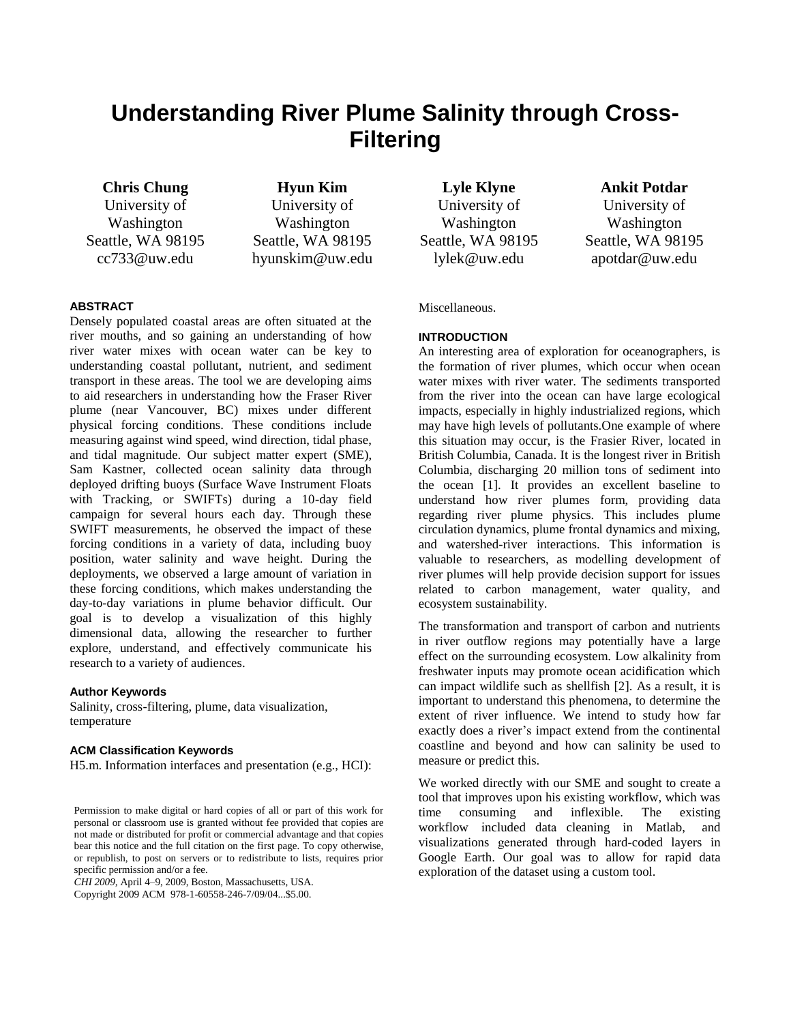# **Understanding River Plume Salinity through Cross-Filtering**

**Chris Chung** University of Washington Seattle, WA 98195 cc733@uw.edu

**Hyun Kim** University of Washington Seattle, WA 98195 hyunskim@uw.edu

# **ABSTRACT**

Densely populated coastal areas are often situated at the river mouths, and so gaining an understanding of how river water mixes with ocean water can be key to understanding coastal pollutant, nutrient, and sediment transport in these areas. The tool we are developing aims to aid researchers in understanding how the Fraser River plume (near Vancouver, BC) mixes under different physical forcing conditions. These conditions include measuring against wind speed, wind direction, tidal phase, and tidal magnitude. Our subject matter expert (SME), Sam Kastner, collected ocean salinity data through deployed drifting buoys (Surface Wave Instrument Floats with Tracking, or SWIFTs) during a 10-day field campaign for several hours each day. Through these SWIFT measurements, he observed the impact of these forcing conditions in a variety of data, including buoy position, water salinity and wave height. During the deployments, we observed a large amount of variation in these forcing conditions, which makes understanding the day-to-day variations in plume behavior difficult. Our goal is to develop a visualization of this highly dimensional data, allowing the researcher to further explore, understand, and effectively communicate his research to a variety of audiences.

#### **Author Keywords**

Salinity, cross-filtering, plume, data visualization, temperature

#### **ACM Classification Keywords**

H5.m. Information interfaces and presentation (e.g., HCI):

*CHI 2009,* April 4–9, 2009, Boston, Massachusetts, USA.

Copyright 2009 ACM 978-1-60558-246-7/09/04...\$5.00.

**Lyle Klyne** University of Washington Seattle, WA 98195 lylek@uw.edu

**Ankit Potdar**

University of Washington Seattle, WA 98195 apotdar@uw.edu

Miscellaneous.

## **INTRODUCTION**

An interesting area of exploration for oceanographers, is the formation of river plumes, which occur when ocean water mixes with river water. The sediments transported from the river into the ocean can have large ecological impacts, especially in highly industrialized regions, which may have high levels of pollutants.One example of where this situation may occur, is the Frasier River, located in British Columbia, Canada. It is the longest river in British Columbia, discharging 20 million tons of sediment into the ocean [1]. It provides an excellent baseline to understand how river plumes form, providing data regarding river plume physics. This includes plume circulation dynamics, plume frontal dynamics and mixing, and watershed-river interactions. This information is valuable to researchers, as modelling development of river plumes will help provide decision support for issues related to carbon management, water quality, and ecosystem sustainability.

The transformation and transport of carbon and nutrients in river outflow regions may potentially have a large effect on the surrounding ecosystem. Low alkalinity from freshwater inputs may promote ocean acidification which can impact wildlife such as shellfish [2]. As a result, it is important to understand this phenomena, to determine the extent of river influence. We intend to study how far exactly does a river's impact extend from the continental coastline and beyond and how can salinity be used to measure or predict this.

We worked directly with our SME and sought to create a tool that improves upon his existing workflow, which was time consuming and inflexible. The existing workflow included data cleaning in Matlab, and visualizations generated through hard-coded layers in Google Earth. Our goal was to allow for rapid data exploration of the dataset using a custom tool.

Permission to make digital or hard copies of all or part of this work for personal or classroom use is granted without fee provided that copies are not made or distributed for profit or commercial advantage and that copies bear this notice and the full citation on the first page. To copy otherwise, or republish, to post on servers or to redistribute to lists, requires prior specific permission and/or a fee.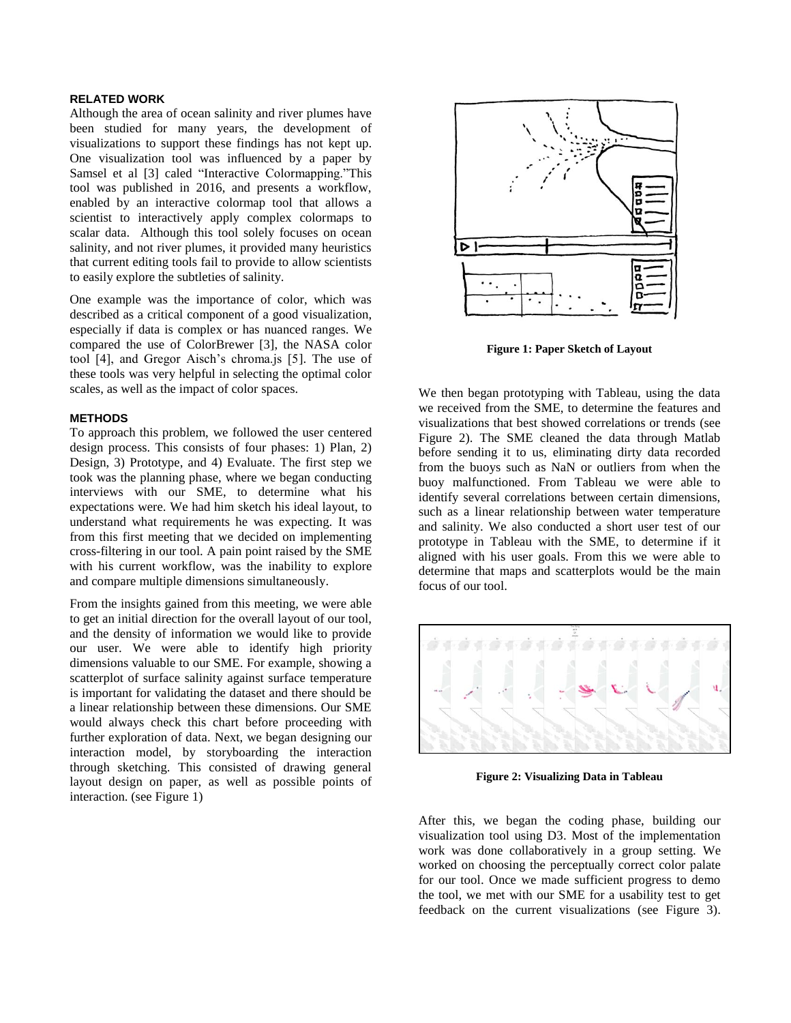# **RELATED WORK**

Although the area of ocean salinity and river plumes have been studied for many years, the development of visualizations to support these findings has not kept up. One visualization tool was influenced by a paper by Samsel et al [3] caled "Interactive Colormapping."This tool was published in 2016, and presents a workflow, enabled by an interactive colormap tool that allows a scientist to interactively apply complex colormaps to scalar data. Although this tool solely focuses on ocean salinity, and not river plumes, it provided many heuristics that current editing tools fail to provide to allow scientists to easily explore the subtleties of salinity.

One example was the importance of color, which was described as a critical component of a good visualization, especially if data is complex or has nuanced ranges. We compared the use of ColorBrewer [3], the NASA color tool [4], and Gregor Aisch's chroma.js [5]. The use of these tools was very helpful in selecting the optimal color scales, as well as the impact of color spaces.

### **METHODS**

To approach this problem, we followed the user centered design process. This consists of four phases: 1) Plan, 2) Design, 3) Prototype, and 4) Evaluate. The first step we took was the planning phase, where we began conducting interviews with our SME, to determine what his expectations were. We had him sketch his ideal layout, to understand what requirements he was expecting. It was from this first meeting that we decided on implementing cross-filtering in our tool. A pain point raised by the SME with his current workflow, was the inability to explore and compare multiple dimensions simultaneously.

From the insights gained from this meeting, we were able to get an initial direction for the overall layout of our tool, and the density of information we would like to provide our user. We were able to identify high priority dimensions valuable to our SME. For example, showing a scatterplot of surface salinity against surface temperature is important for validating the dataset and there should be a linear relationship between these dimensions. Our SME would always check this chart before proceeding with further exploration of data. Next, we began designing our interaction model, by storyboarding the interaction through sketching. This consisted of drawing general layout design on paper, as well as possible points of interaction. (see Figure 1)



**Figure 1: Paper Sketch of Layout**

We then began prototyping with Tableau, using the data we received from the SME, to determine the features and visualizations that best showed correlations or trends (see Figure 2). The SME cleaned the data through Matlab before sending it to us, eliminating dirty data recorded from the buoys such as NaN or outliers from when the buoy malfunctioned. From Tableau we were able to identify several correlations between certain dimensions, such as a linear relationship between water temperature and salinity. We also conducted a short user test of our prototype in Tableau with the SME, to determine if it aligned with his user goals. From this we were able to determine that maps and scatterplots would be the main focus of our tool.



**Figure 2: Visualizing Data in Tableau**

After this, we began the coding phase, building our visualization tool using D3. Most of the implementation work was done collaboratively in a group setting. We worked on choosing the perceptually correct color palate for our tool. Once we made sufficient progress to demo the tool, we met with our SME for a usability test to get feedback on the current visualizations (see Figure 3).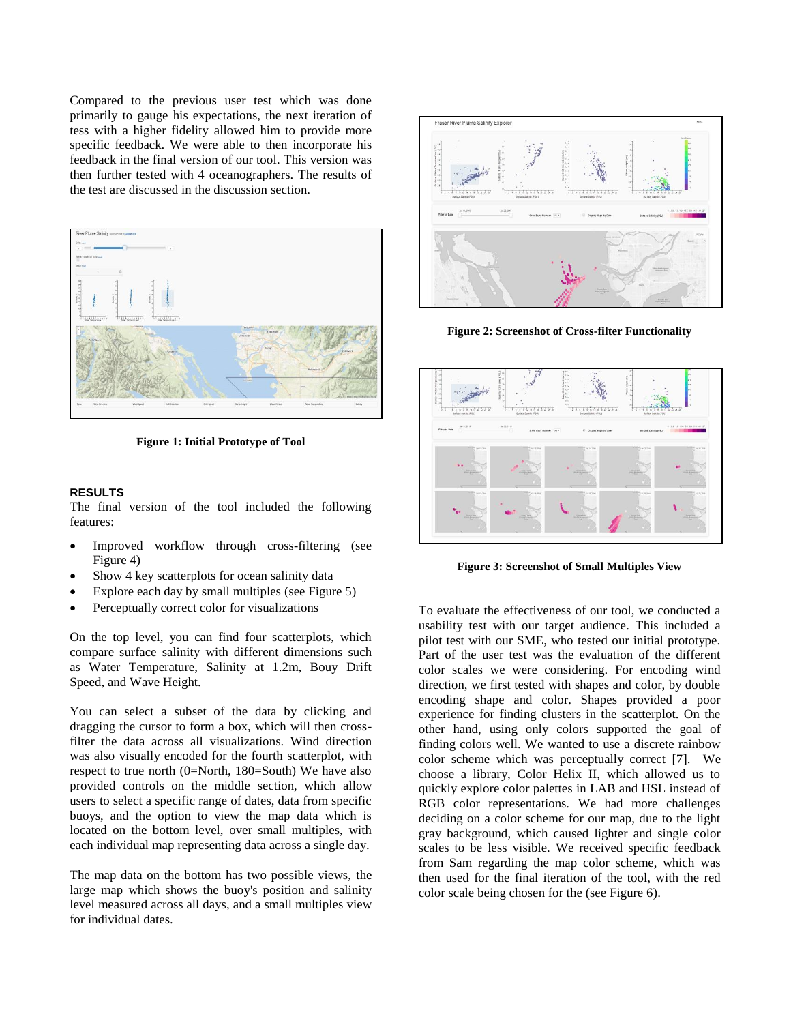Compared to the previous user test which was done primarily to gauge his expectations, the next iteration of tess with a higher fidelity allowed him to provide more specific feedback. We were able to then incorporate his feedback in the final version of our tool. This version was then further tested with 4 oceanographers. The results of the test are discussed in the discussion section.



**Figure 1: Initial Prototype of Tool**

#### **RESULTS**

The final version of the tool included the following features:

- Improved workflow through cross-filtering (see Figure 4)
- Show 4 key scatterplots for ocean salinity data
- Explore each day by small multiples (see Figure 5)
- Perceptually correct color for visualizations

On the top level, you can find four scatterplots, which compare surface salinity with different dimensions such as Water Temperature, Salinity at 1.2m, Bouy Drift Speed, and Wave Height.

You can select a subset of the data by clicking and dragging the cursor to form a box, which will then crossfilter the data across all visualizations. Wind direction was also visually encoded for the fourth scatterplot, with respect to true north (0=North, 180=South) We have also provided controls on the middle section, which allow users to select a specific range of dates, data from specific buoys, and the option to view the map data which is located on the bottom level, over small multiples, with each individual map representing data across a single day.

The map data on the bottom has two possible views, the large map which shows the buoy's position and salinity level measured across all days, and a small multiples view for individual dates.



**Figure 2: Screenshot of Cross-filter Functionality**



**Figure 3: Screenshot of Small Multiples View**

To evaluate the effectiveness of our tool, we conducted a usability test with our target audience. This included a pilot test with our SME, who tested our initial prototype. Part of the user test was the evaluation of the different color scales we were considering. For encoding wind direction, we first tested with shapes and color, by double encoding shape and color. Shapes provided a poor experience for finding clusters in the scatterplot. On the other hand, using only colors supported the goal of finding colors well. We wanted to use a discrete rainbow color scheme which was perceptually correct [7]. We choose a library, Color Helix II, which allowed us to quickly explore color palettes in LAB and HSL instead of RGB color representations. We had more challenges deciding on a color scheme for our map, due to the light gray background, which caused lighter and single color scales to be less visible. We received specific feedback from Sam regarding the map color scheme, which was then used for the final iteration of the tool, with the red color scale being chosen for the (see Figure 6).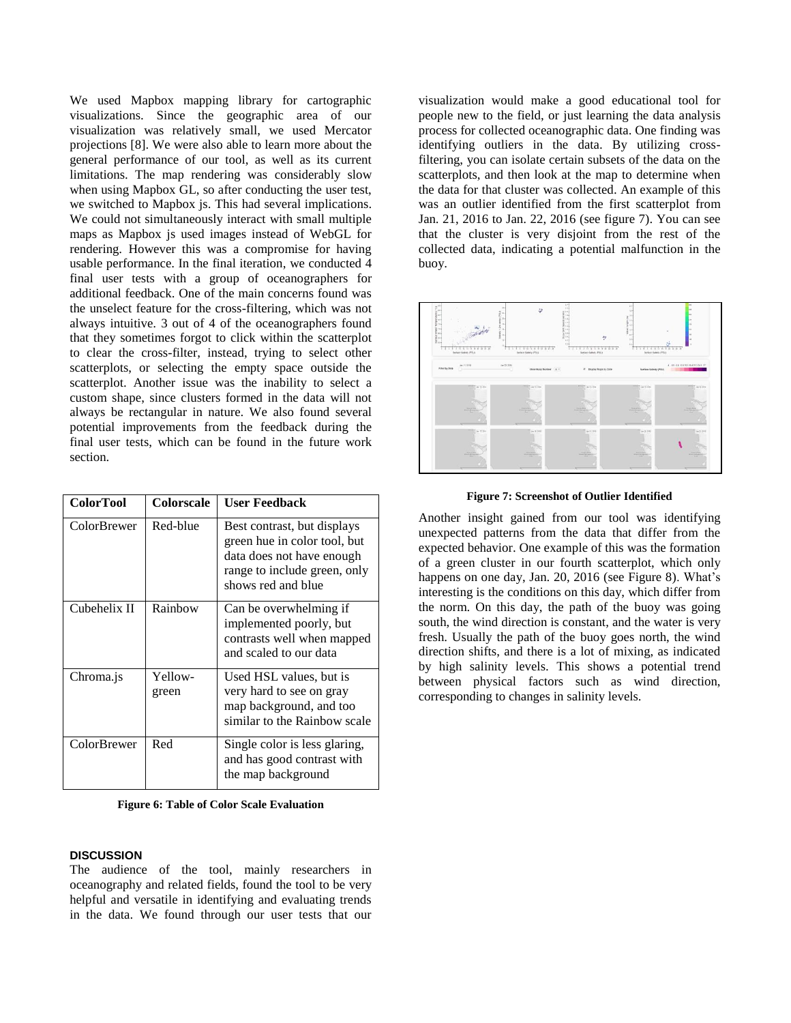We used Mapbox mapping library for cartographic visualizations. Since the geographic area of our visualization was relatively small, we used Mercator projections [8]. We were also able to learn more about the general performance of our tool, as well as its current limitations. The map rendering was considerably slow when using Mapbox GL, so after conducting the user test, we switched to Mapbox js. This had several implications. We could not simultaneously interact with small multiple maps as Mapbox js used images instead of WebGL for rendering. However this was a compromise for having usable performance. In the final iteration, we conducted 4 final user tests with a group of oceanographers for additional feedback. One of the main concerns found was the unselect feature for the cross-filtering, which was not always intuitive. 3 out of 4 of the oceanographers found that they sometimes forgot to click within the scatterplot to clear the cross-filter, instead, trying to select other scatterplots, or selecting the empty space outside the scatterplot. Another issue was the inability to select a custom shape, since clusters formed in the data will not always be rectangular in nature. We also found several potential improvements from the feedback during the final user tests, which can be found in the future work section.

| <b>ColorTool</b> | Colorscale       | <b>User Feedback</b>                                                                                                                           |
|------------------|------------------|------------------------------------------------------------------------------------------------------------------------------------------------|
| ColorBrewer      | Red-blue         | Best contrast, but displays<br>green hue in color tool, but<br>data does not have enough<br>range to include green, only<br>shows red and blue |
| Cubehelix II     | Rainhow          | Can be overwhelming if<br>implemented poorly, but<br>contrasts well when mapped<br>and scaled to our data                                      |
| Chroma.js        | Yellow-<br>green | Used HSL values, but is<br>very hard to see on gray<br>map background, and too<br>similar to the Rainbow scale                                 |
| ColorBrewer      | Red              | Single color is less glaring,<br>and has good contrast with<br>the map background                                                              |

**Figure 6: Table of Color Scale Evaluation**

## **DISCUSSION**

The audience of the tool, mainly researchers in oceanography and related fields, found the tool to be very helpful and versatile in identifying and evaluating trends in the data. We found through our user tests that our visualization would make a good educational tool for people new to the field, or just learning the data analysis process for collected oceanographic data. One finding was identifying outliers in the data. By utilizing crossfiltering, you can isolate certain subsets of the data on the scatterplots, and then look at the map to determine when the data for that cluster was collected. An example of this was an outlier identified from the first scatterplot from Jan. 21, 2016 to Jan. 22, 2016 (see figure 7). You can see that the cluster is very disjoint from the rest of the collected data, indicating a potential malfunction in the buoy.





Another insight gained from our tool was identifying unexpected patterns from the data that differ from the expected behavior. One example of this was the formation of a green cluster in our fourth scatterplot, which only happens on one day, Jan. 20, 2016 (see Figure 8). What's interesting is the conditions on this day, which differ from the norm. On this day, the path of the buoy was going south, the wind direction is constant, and the water is very fresh. Usually the path of the buoy goes north, the wind direction shifts, and there is a lot of mixing, as indicated by high salinity levels. This shows a potential trend between physical factors such as wind direction, corresponding to changes in salinity levels.